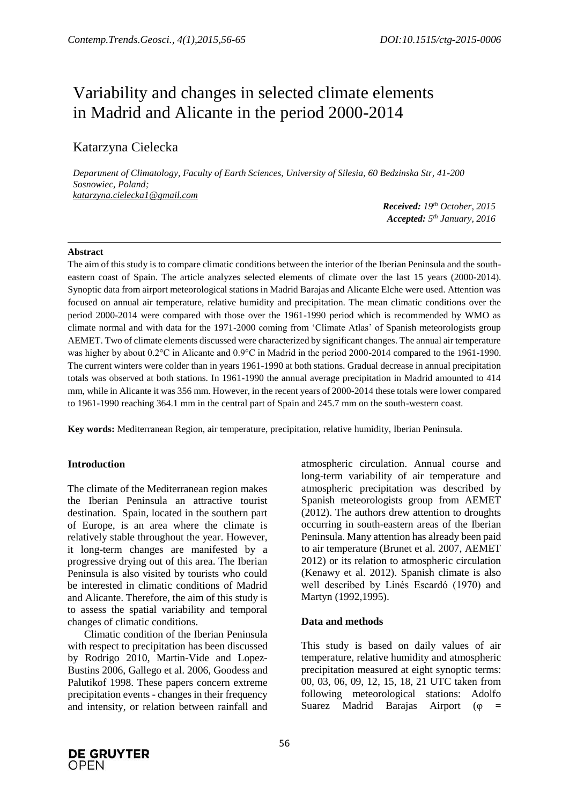# Variability and changes in selected climate elements in Madrid and Alicante in the period 2000-2014

# Katarzyna Cielecka

*Department of Climatology, Faculty of Earth Sciences, University of Silesia, 60 Bedzinska Str, 41-200 Sosnowiec, Poland; katarzyna.cielecka1@gmail.com*

*Received: 19th October, 2015 Accepted: 5 th January, 2016*

#### **Abstract**

The aim of this study is to compare climatic conditions between the interior of the Iberian Peninsula and the southeastern coast of Spain. The article analyzes selected elements of climate over the last 15 years (2000-2014). Synoptic data from airport meteorological stations in Madrid Barajas and Alicante Elche were used. Attention was focused on annual air temperature, relative humidity and precipitation. The mean climatic conditions over the period 2000-2014 were compared with those over the 1961-1990 period which is recommended by WMO as climate normal and with data for the 1971-2000 coming from 'Climate Atlas' of Spanish meteorologists group AEMET. Two of climate elements discussed were characterized by significant changes. The annual air temperature was higher by about 0.2°C in Alicante and 0.9°C in Madrid in the period 2000-2014 compared to the 1961-1990. The current winters were colder than in years 1961-1990 at both stations. Gradual decrease in annual precipitation totals was observed at both stations. In 1961-1990 the annual average precipitation in Madrid amounted to 414 mm, while in Alicante it was 356 mm. However, in the recent years of 2000-2014 these totals were lower compared to 1961-1990 reaching 364.1 mm in the central part of Spain and 245.7 mm on the south-western coast.

**Key words:** Mediterranean Region, air temperature, precipitation, relative humidity, Iberian Peninsula.

#### **Introduction**

The climate of the Mediterranean region makes the Iberian Peninsula an attractive tourist destination. Spain, located in the southern part of Europe, is an area where the climate is relatively stable throughout the year. However, it long-term changes are manifested by a progressive drying out of this area. The Iberian Peninsula is also visited by tourists who could be interested in climatic conditions of Madrid and Alicante. Therefore, the aim of this study is to assess the spatial variability and temporal changes of climatic conditions.

Climatic condition of the Iberian Peninsula with respect to precipitation has been discussed by Rodrigo 2010, Martin-Vide and Lopez-Bustins 2006, Gallego et al. 2006, Goodess and Palutikof 1998. These papers concern extreme precipitation events - changes in their frequency and intensity, or relation between rainfall and atmospheric circulation. Annual course and long-term variability of air temperature and atmospheric precipitation was described by Spanish meteorologists group from AEMET (2012). The authors drew attention to droughts occurring in south-eastern areas of the Iberian Peninsula. Many attention has already been paid to air temperature (Brunet et al. 2007, AEMET 2012) or its relation to atmospheric circulation (Kenawy et al. 2012). Spanish climate is also well described by Linés Escardó (1970) and Martyn (1992,1995).

#### **Data and methods**

This study is based on daily values of air temperature, relative humidity and atmospheric precipitation measured at eight synoptic terms: 00, 03, 06, 09, 12, 15, 18, 21 UTC taken from following meteorological stations: Adolfo Suarez Madrid Barajas Airport ( $\varphi$  =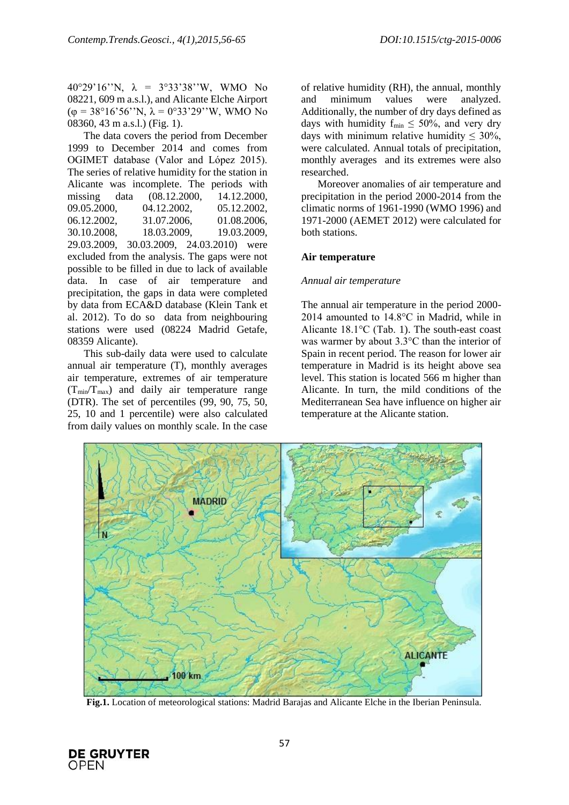40°29'16''N, λ = 3°33'38''W, WMO No 08221, 609 m a.s.l.), and Alicante Elche Airport ( $\varphi = 38^{\circ}16'56''$ N,  $\lambda = 0^{\circ}33'29''$ W, WMO No 08360, 43 m a.s.l.) (Fig. 1).

The data covers the period from December 1999 to December 2014 and comes from OGIMET database (Valor and López 2015). The series of relative humidity for the station in Alicante was incomplete. The periods with missing data (08.12.2000, 14.12.2000, 09.05.2000, 04.12.2002, 05.12.2002, 06.12.2002, 31.07.2006, 01.08.2006, 30.10.2008, 18.03.2009, 19.03.2009, 29.03.2009, 30.03.2009, 24.03.2010) were excluded from the analysis. The gaps were not possible to be filled in due to lack of available data. In case of air temperature and precipitation, the gaps in data were completed by data from ECA&D database (Klein Tank et al. 2012). To do so data from neighbouring stations were used (08224 Madrid Getafe, 08359 Alicante).

This sub-daily data were used to calculate annual air temperature (T), monthly averages air temperature, extremes of air temperature  $(T_{min}/T_{max})$  and daily air temperature range (DTR). The set of percentiles (99, 90, 75, 50, 25, 10 and 1 percentile) were also calculated from daily values on monthly scale. In the case

of relative humidity (RH), the annual, monthly and minimum values were analyzed. Additionally, the number of dry days defined as days with humidity  $f_{min} \leq 50\%$ , and very dry days with minimum relative humidity  $\leq 30\%$ , were calculated. Annual totals of precipitation, monthly averages and its extremes were also researched.

Moreover anomalies of air temperature and precipitation in the period 2000-2014 from the climatic norms of 1961-1990 (WMO 1996) and 1971-2000 (AEMET 2012) were calculated for both stations.

# **Air temperature**

#### *Annual air temperature*

The annual air temperature in the period 2000- 2014 amounted to 14.8°C in Madrid, while in Alicante 18.1°C (Tab. 1). The south-east coast was warmer by about 3.3°C than the interior of Spain in recent period. The reason for lower air temperature in Madrid is its height above sea level. This station is located 566 m higher than Alicante. In turn, the mild conditions of the Mediterranean Sea have influence on higher air temperature at the Alicante station.



**Fig.1.** Location of meteorological stations: Madrid Barajas and Alicante Elche in the Iberian Peninsula.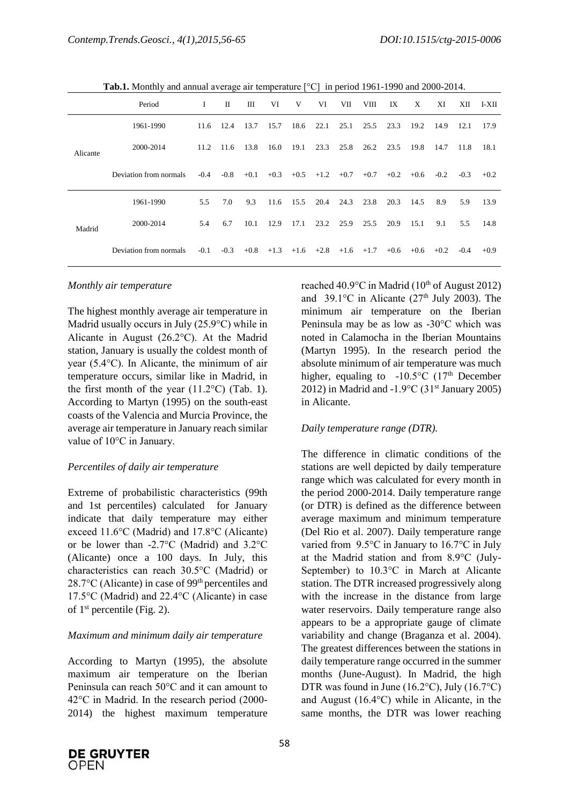**Tab.1.** Monthly and annual average air temperature [°C] in period 1961-1990 and 2000-2014.

|          | Period                 | L      | П      | Ш      | VI     | V      | VI     | VII    | VIII   | IX     | X      | XI     | XII    | I-XII  |
|----------|------------------------|--------|--------|--------|--------|--------|--------|--------|--------|--------|--------|--------|--------|--------|
| Alicante | 1961-1990              | 11.6   | 12.4   | 13.7   | 15.7   | 18.6   | 22.1   | 25.1   | 25.5   | 23.3   | 19.2   | 14.9   | 12.1   | 17.9   |
|          | 2000-2014              | 11.2   | 11.6   | 13.8   | 16.0   | 19.1   | 23.3   | 25.8   | 26.2   | 23.5   | 19.8   | 14.7   | 11.8   | 18.1   |
|          | Deviation from normals | $-0.4$ | $-0.8$ | $+0.1$ | $+0.3$ | $+0.5$ | $+1.2$ | $+0.7$ | $+0.7$ | $+0.2$ | $+0.6$ | $-0.2$ | $-0.3$ | $+0.2$ |
| Madrid   | 1961-1990              | 5.5    | 7.0    | 9.3    | 11.6   | 15.5   | 20.4   | 24.3   | 23.8   | 20.3   | 14.5   | 8.9    | 5.9    | 13.9   |
|          | 2000-2014              | 5.4    | 6.7    | 10.1   | 12.9   | 17.1   | 23.2   | 25.9   | 25.5   | 20.9   | 15.1   | 9.1    | 5.5    | 14.8   |
|          | Deviation from normals | $-0.1$ | $-0.3$ | $+0.8$ | $+1.3$ | $+1.6$ | $+2.8$ | $+1.6$ | $+1.7$ | $+0.6$ | $+0.6$ | $+0.2$ | $-0.4$ | $+0.9$ |

#### *Monthly air temperature*

The highest monthly average air temperature in Madrid usually occurs in July (25.9°C) while in Alicante in August (26.2°C). At the Madrid station, January is usually the coldest month of year (5.4°C). In Alicante, the minimum of air temperature occurs, similar like in Madrid, in the first month of the year  $(11.2^{\circ}C)$  (Tab. 1). According to Martyn (1995) on the south-east coasts of the Valencia and Murcia Province, the average air temperature in January reach similar value of 10°C in January.

#### *Percentiles of daily air temperature*

Extreme of probabilistic characteristics (99th and 1st percentiles) calculated for January indicate that daily temperature may either exceed 11.6°C (Madrid) and 17.8°C (Alicante) or be lower than -2.7°C (Madrid) and 3.2°C (Alicante) once a 100 days. In July, this characteristics can reach 30.5°C (Madrid) or 28.7 $\rm{°C}$  (Alicante) in case of 99<sup>th</sup> percentiles and 17.5°C (Madrid) and 22.4°C (Alicante) in case of  $1<sup>st</sup>$  percentile (Fig. 2).

#### *Maximum and minimum daily air temperature*

According to Martyn (1995), the absolute maximum air temperature on the Iberian Peninsula can reach 50°C and it can amount to 42°C in Madrid. In the research period (2000- 2014) the highest maximum temperature

reached 40.9 $\degree$ C in Madrid (10<sup>th</sup> of August 2012) and 39.1 $\degree$ C in Alicante (27<sup>th</sup> July 2003). The minimum air temperature on the Iberian Peninsula may be as low as -30°C which was noted in Calamocha in the Iberian Mountains (Martyn 1995). In the research period the absolute minimum of air temperature was much higher, equaling to  $-10.5^{\circ}$ C (17<sup>th</sup> December 2012) in Madrid and -1.9°C (31<sup>st</sup> January 2005) in Alicante.

#### *Daily temperature range (DTR).*

The difference in climatic conditions of the stations are well depicted by daily temperature range which was calculated for every month in the period 2000-2014. Daily temperature range (or DTR) is defined as the difference between average maximum and minimum temperature (Del Rio et al. 2007). Daily temperature range varied from 9.5°C in January to 16.7°C in July at the Madrid station and from 8.9°C (July-September) to 10.3°C in March at Alicante station. The DTR increased progressively along with the increase in the distance from large water reservoirs. Daily temperature range also appears to be a appropriate gauge of climate variability and change (Braganza et al. 2004). The greatest differences between the stations in daily temperature range occurred in the summer months (June-August). In Madrid, the high DTR was found in June (16.2°C), July (16.7°C) and August (16.4°C) while in Alicante, in the same months, the DTR was lower reaching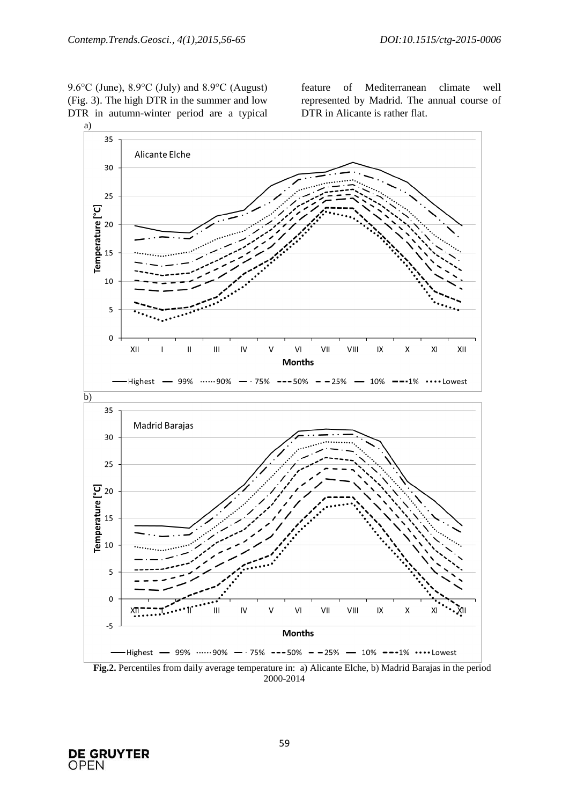9.6°C (June), 8.9°C (July) and 8.9°C (August) (Fig. 3). The high DTR in the summer and low DTR in autumn-winter period are a typical feature of Mediterranean climate well represented by Madrid. The annual course of DTR in Alicante is rather flat.



2000-2014



59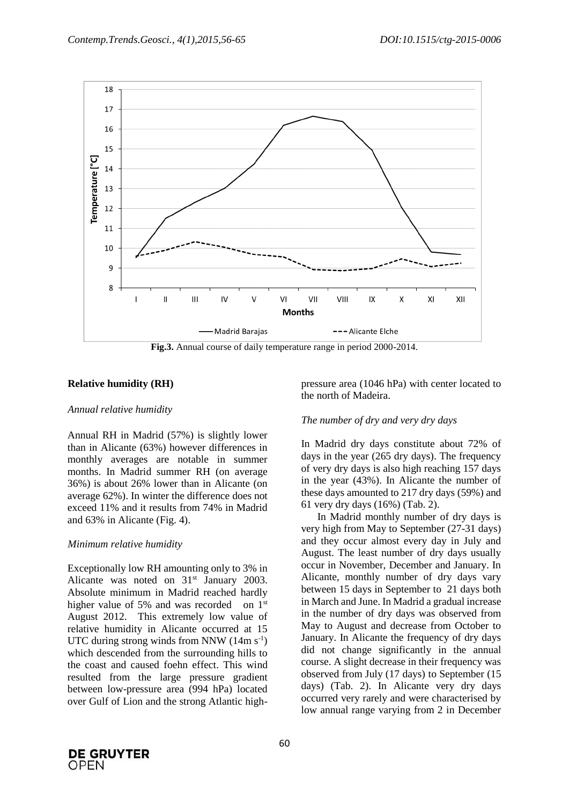

**Fig.3.** Annual course of daily temperature range in period 2000-2014.

# **Relative humidity (RH)**

#### *Annual relative humidity*

Annual RH in Madrid (57%) is slightly lower than in Alicante (63%) however differences in monthly averages are notable in summer months. In Madrid summer RH (on average 36%) is about 26% lower than in Alicante (on average 62%). In winter the difference does not exceed 11% and it results from 74% in Madrid and 63% in Alicante (Fig. 4).

#### *Minimum relative humidity*

Exceptionally low RH amounting only to 3% in Alicante was noted on 31<sup>st</sup> January 2003. Absolute minimum in Madrid reached hardly higher value of 5% and was recorded on 1<sup>st</sup> August 2012. This extremely low value of relative humidity in Alicante occurred at 15 UTC during strong winds from NNW  $(14 \text{m s}^{-1})$ which descended from the surrounding hills to the coast and caused foehn effect. This wind resulted from the large pressure gradient between low-pressure area (994 hPa) located over Gulf of Lion and the strong Atlantic highpressure area (1046 hPa) with center located to the north of Madeira.

#### *The number of dry and very dry days*

In Madrid dry days constitute about 72% of days in the year (265 dry days). The frequency of very dry days is also high reaching 157 days in the year (43%). In Alicante the number of these days amounted to 217 dry days (59%) and 61 very dry days (16%) (Tab. 2).

In Madrid monthly number of dry days is very high from May to September (27-31 days) and they occur almost every day in July and August. The least number of dry days usually occur in November, December and January. In Alicante, monthly number of dry days vary between 15 days in September to 21 days both in March and June. In Madrid a gradual increase in the number of dry days was observed from May to August and decrease from October to January. In Alicante the frequency of dry days did not change significantly in the annual course. A slight decrease in their frequency was observed from July (17 days) to September (15 days) (Tab. 2). In Alicante very dry days occurred very rarely and were characterised by low annual range varying from 2 in December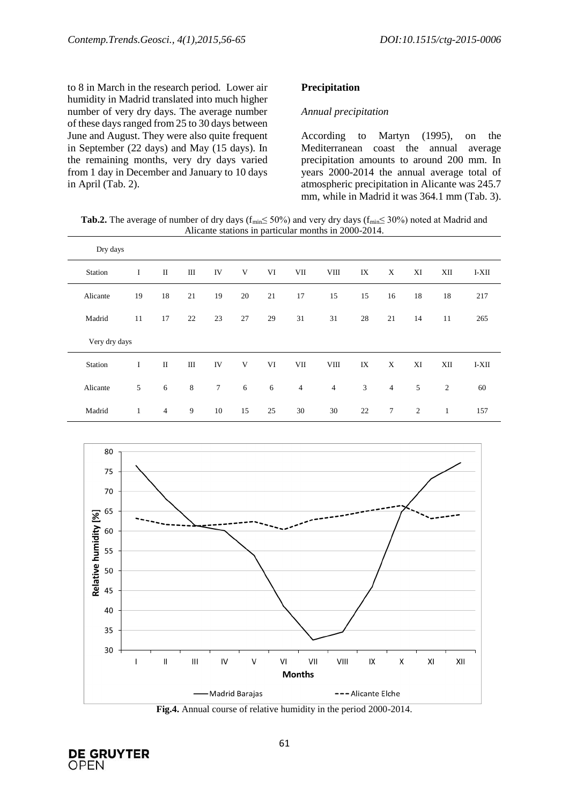to 8 in March in the research period. Lower air humidity in Madrid translated into much higher number of very dry days. The average number of these days ranged from 25 to 30 days between June and August. They were also quite frequent in September (22 days) and May (15 days). In the remaining months, very dry days varied from 1 day in December and January to 10 days in April (Tab. 2).

#### **Precipitation**

#### *Annual precipitation*

According to Martyn (1995), on the Mediterranean coast the annual average precipitation amounts to around 200 mm. In years 2000-2014 the annual average total of atmospheric precipitation in Alicante was 245.7 mm, while in Madrid it was 364.1 mm (Tab. 3).

**Tab.2.** The average of number of dry days ( $f_{\text{min}} \le 50\%$ ) and very dry days ( $f_{\text{min}} \le 30\%$ ) noted at Madrid and Alicante stations in particular months in 2000-2014.

| Dry days |               |                |    |                 |        |    |                |                |    |                |                |                |       |
|----------|---------------|----------------|----|-----------------|--------|----|----------------|----------------|----|----------------|----------------|----------------|-------|
| Station  | I             | $\rm II$       | Ш  | IV              | V      | VI | VII            | <b>VIII</b>    | IX | X              | XI             | XII            | I-XII |
| Alicante | 19            | 18             | 21 | 19              | $20\,$ | 21 | 17             | 15             | 15 | 16             | 18             | 18             | 217   |
| Madrid   | 11            | 17             | 22 | 23              | 27     | 29 | 31             | 31             | 28 | 21             | 14             | 11             | 265   |
|          | Very dry days |                |    |                 |        |    |                |                |    |                |                |                |       |
| Station  | I             | $\rm II$       | Ш  | IV              | V      | VI | VII            | <b>VIII</b>    | IX | X              | XI             | XII            | I-XII |
| Alicante | 5             | 6              | 8  | $7\phantom{.0}$ | 6      | 6  | $\overline{4}$ | $\overline{4}$ | 3  | $\overline{4}$ | 5              | $\mathfrak{2}$ | 60    |
| Madrid   | 1             | $\overline{4}$ | 9  | 10              | 15     | 25 | 30             | 30             | 22 | $\tau$         | $\overline{2}$ | 1              | 157   |



**Fig.4.** Annual course of relative humidity in the period 2000-2014.

**DE GRUYTER OPEN**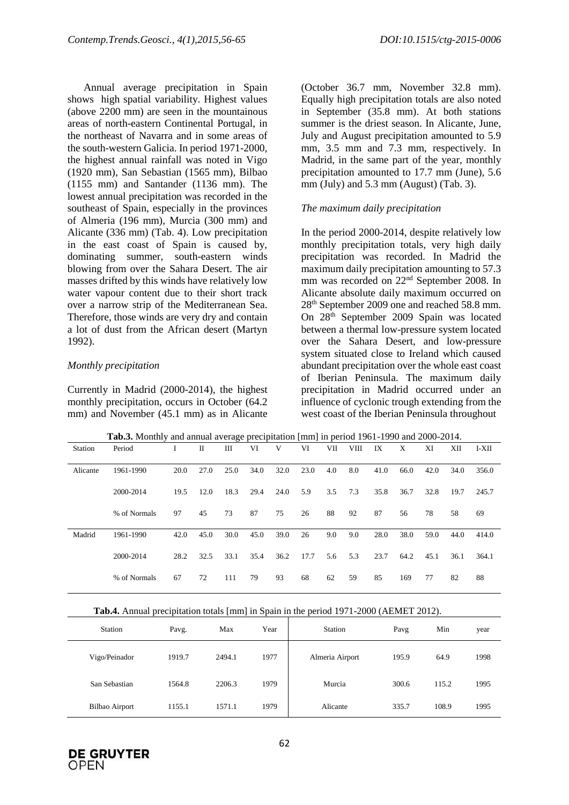Annual average precipitation in Spain shows high spatial variability. Highest values (above 2200 mm) are seen in the mountainous areas of north-eastern Continental Portugal, in the northeast of Navarra and in some areas of the south-western Galicia. In period 1971-2000, the highest annual rainfall was noted in Vigo (1920 mm), San Sebastian (1565 mm), Bilbao (1155 mm) and Santander (1136 mm). The lowest annual precipitation was recorded in the southeast of Spain, especially in the provinces of Almeria (196 mm), Murcia (300 mm) and Alicante (336 mm) (Tab. 4). Low precipitation in the east coast of Spain is caused by, dominating summer, south-eastern winds blowing from over the Sahara Desert. The air masses drifted by this winds have relatively low water vapour content due to their short track over a narrow strip of the Mediterranean Sea. Therefore, those winds are very dry and contain a lot of dust from the African desert (Martyn 1992).

# *Monthly precipitation*

Currently in Madrid (2000-2014), the highest monthly precipitation, occurs in October (64.2 mm) and November (45.1 mm) as in Alicante

(October 36.7 mm, November 32.8 mm). Equally high precipitation totals are also noted in September (35.8 mm). At both stations summer is the driest season. In Alicante, June, July and August precipitation amounted to 5.9 mm, 3.5 mm and 7.3 mm, respectively. In Madrid, in the same part of the year, monthly precipitation amounted to 17.7 mm (June), 5.6 mm (July) and 5.3 mm (August) (Tab. 3).

# *The maximum daily precipitation*

In the period 2000-2014, despite relatively low monthly precipitation totals, very high daily precipitation was recorded. In Madrid the maximum daily precipitation amounting to 57.3 mm was recorded on 22<sup>nd</sup> September 2008. In Alicante absolute daily maximum occurred on 28th September 2009 one and reached 58.8 mm. On 28th September 2009 Spain was located between a thermal low-pressure system located over the Sahara Desert, and low-pressure system situated close to Ireland which caused abundant precipitation over the whole east coast of Iberian Peninsula. The maximum daily precipitation in Madrid occurred under an influence of cyclonic trough extending from the west coast of the Iberian Peninsula throughout

| Station  | <b>THONG</b> MORTHLY and annual average precipitation [11111] in period 1901 1990 and 2000 201 i.<br>Period |      | П    | Ш    | VI   | V    | VI   | VІІ | VIII | IX   | X    | XI   | XII  | I-XII |
|----------|-------------------------------------------------------------------------------------------------------------|------|------|------|------|------|------|-----|------|------|------|------|------|-------|
| Alicante | 1961-1990                                                                                                   | 20.0 | 27.0 | 25.0 | 34.0 | 32.0 | 23.0 | 4.0 | 8.0  | 41.0 | 66.0 | 42.0 | 34.0 | 356.0 |
|          | 2000-2014                                                                                                   | 19.5 | 12.0 | 18.3 | 29.4 | 24.0 | 5.9  | 3.5 | 7.3  | 35.8 | 36.7 | 32.8 | 19.7 | 245.7 |
|          | % of Normals                                                                                                | 97   | 45   | 73   | 87   | 75   | 26   | 88  | 92   | 87   | 56   | 78   | 58   | 69    |
| Madrid   | 1961-1990                                                                                                   | 42.0 | 45.0 | 30.0 | 45.0 | 39.0 | 26   | 9.0 | 9.0  | 28.0 | 38.0 | 59.0 | 44.0 | 414.0 |
|          | 2000-2014                                                                                                   | 28.2 | 32.5 | 33.1 | 35.4 | 36.2 | 17.7 | 5.6 | 5.3  | 23.7 | 64.2 | 45.1 | 36.1 | 364.1 |
|          | % of Normals                                                                                                | 67   | 72   | 111  | 79   | 93   | 68   | 62  | 59   | 85   | 169  | 77   | 82   | 88    |

**Tab.3.** Monthly and annual average precipitation [mm] in period 1961-1990 and 2000-2014.

**Tab.4.** Annual precipitation totals [mm] in Spain in the period 1971-2000 (AEMET 2012).

| Station               | Pavg.  | Max    | Year | Station         | Pavg  | Min   | year |
|-----------------------|--------|--------|------|-----------------|-------|-------|------|
| Vigo/Peinador         | 1919.7 | 2494.1 | 1977 | Almeria Airport | 195.9 | 64.9  | 1998 |
| San Sebastian         | 1564.8 | 2206.3 | 1979 | Murcia          | 300.6 | 115.2 | 1995 |
| <b>Bilbao Airport</b> | 1155.1 | 1571.1 | 1979 | Alicante        | 335.7 | 108.9 | 1995 |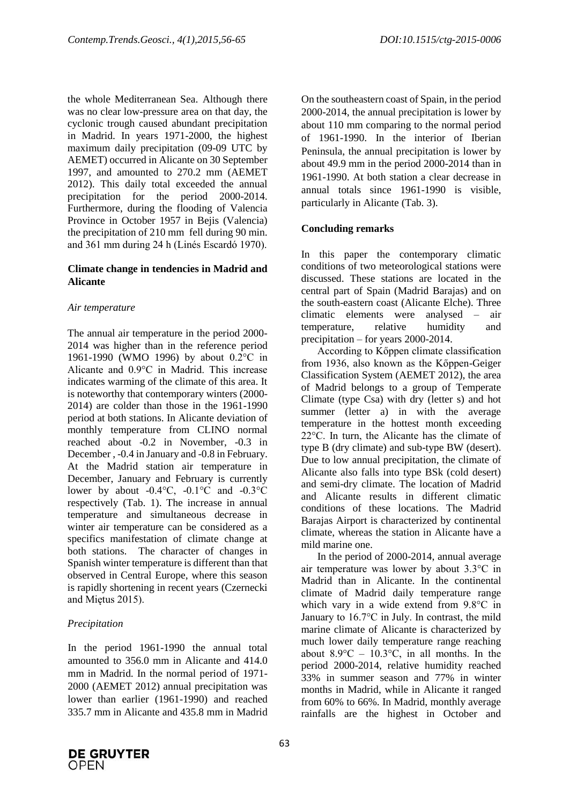the whole Mediterranean Sea. Although there was no clear low-pressure area on that day, the cyclonic trough caused abundant precipitation in Madrid. In years 1971-2000, the highest maximum daily precipitation (09-09 UTC by AEMET) occurred in Alicante on 30 September 1997, and amounted to 270.2 mm (AEMET 2012). This daily total exceeded the annual precipitation for the period 2000-2014. Furthermore, during the flooding of Valencia Province in October 1957 in Bejis (Valencia) the precipitation of 210 mm fell during 90 min. and 361 mm during 24 h (Linés Escardó 1970).

#### **Climate change in tendencies in Madrid and Alicante**

# *Air temperature*

The annual air temperature in the period 2000- 2014 was higher than in the reference period 1961-1990 (WMO 1996) by about 0.2°C in Alicante and 0.9°C in Madrid. This increase indicates warming of the climate of this area. It is noteworthy that contemporary winters (2000- 2014) are colder than those in the 1961-1990 period at both stations. In Alicante deviation of monthly temperature from CLINO normal reached about -0.2 in November, -0.3 in December , -0.4 in January and -0.8 in February. At the Madrid station air temperature in December, January and February is currently lower by about  $-0.4$ °C,  $-0.1$ °C and  $-0.3$ °C respectively (Tab. 1). The increase in annual temperature and simultaneous decrease in winter air temperature can be considered as a specifics manifestation of climate change at both stations. The character of changes in Spanish winter temperature is different than that observed in Central Europe, where this season is rapidly shortening in recent years (Czernecki and Miętus 2015).

# *Precipitation*

In the period 1961-1990 the annual total amounted to 356.0 mm in Alicante and 414.0 mm in Madrid. In the normal period of 1971- 2000 (AEMET 2012) annual precipitation was lower than earlier (1961-1990) and reached 335.7 mm in Alicante and 435.8 mm in Madrid On the southeastern coast of Spain, in the period 2000-2014, the annual precipitation is lower by about 110 mm comparing to the normal period of 1961-1990. In the interior of Iberian Peninsula, the annual precipitation is lower by about 49.9 mm in the period 2000-2014 than in 1961-1990. At both station a clear decrease in annual totals since 1961-1990 is visible, particularly in Alicante (Tab. 3).

# **Concluding remarks**

In this paper the contemporary climatic conditions of two meteorological stations were discussed. These stations are located in the central part of Spain (Madrid Barajas) and on the south-eastern coast (Alicante Elche). Three climatic elements were analysed – air temperature, relative humidity and precipitation – for years 2000-2014.

According to Kőppen climate classification from 1936, also known as the Kőppen-Geiger Classification System (AEMET 2012), the area of Madrid belongs to a group of Temperate Climate (type Csa) with dry (letter s) and hot summer (letter a) in with the average temperature in the hottest month exceeding 22°C. In turn, the Alicante has the climate of type B (dry climate) and sub-type BW (desert). Due to low annual precipitation, the climate of Alicante also falls into type BSk (cold desert) and semi-dry climate. The location of Madrid and Alicante results in different climatic conditions of these locations. The Madrid Barajas Airport is characterized by continental climate, whereas the station in Alicante have a mild marine one.

In the period of 2000-2014, annual average air temperature was lower by about 3.3°C in Madrid than in Alicante. In the continental climate of Madrid daily temperature range which vary in a wide extend from 9.8°C in January to 16.7°C in July. In contrast, the mild marine climate of Alicante is characterized by much lower daily temperature range reaching about  $8.9^{\circ}$ C –  $10.3^{\circ}$ C, in all months. In the period 2000-2014, relative humidity reached 33% in summer season and 77% in winter months in Madrid, while in Alicante it ranged from 60% to 66%. In Madrid, monthly average rainfalls are the highest in October and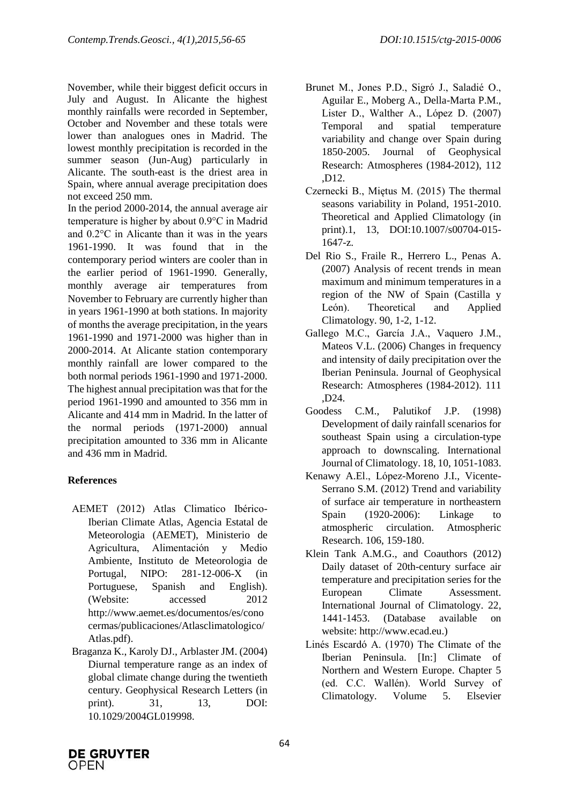November, while their biggest deficit occurs in July and August. In Alicante the highest monthly rainfalls were recorded in September, October and November and these totals were lower than analogues ones in Madrid. The lowest monthly precipitation is recorded in the summer season (Jun-Aug) particularly in Alicante. The south-east is the driest area in Spain, where annual average precipitation does not exceed 250 mm.

In the period 2000-2014, the annual average air temperature is higher by about 0.9°C in Madrid and 0.2°C in Alicante than it was in the years 1961-1990. It was found that in the contemporary period winters are cooler than in the earlier period of 1961-1990. Generally, monthly average air temperatures from November to February are currently higher than in years 1961-1990 at both stations. In majority of months the average precipitation, in the years 1961-1990 and 1971-2000 was higher than in 2000-2014. At Alicante station contemporary monthly rainfall are lower compared to the both normal periods 1961-1990 and 1971-2000. The highest annual precipitation was that for the period 1961-1990 and amounted to 356 mm in Alicante and 414 mm in Madrid. In the latter of the normal periods (1971-2000) annual precipitation amounted to 336 mm in Alicante and 436 mm in Madrid.

# **References**

- AEMET (2012) Atlas Climatico Ibérico-Iberian Climate Atlas, Agencia Estatal de Meteorologia (AEMET), Ministerio de Agricultura, Alimentación y Medio Ambiente, Instituto de Meteorologia de Portugal, NIPO: 281-12-006-X (in Portuguese, Spanish and English). (Website: accessed 2012 http://www.aemet.es/documentos/es/cono cermas/publicaciones/Atlasclimatologico/ Atlas.pdf).
- Braganza K., Karoly DJ., Arblaster JM. (2004) Diurnal temperature range as an index of global climate change during the twentieth century. Geophysical Research Letters (in print). 31, 13, DOI: 10.1029/2004GL019998.
- Brunet M., Jones P.D., Sigró J., Saladié O., Aguilar E., Moberg A., Della-Marta P.M., Lister D., Walther A., López D. (2007) Temporal and spatial temperature variability and change over Spain during 1850-2005. Journal of Geophysical Research: Atmospheres (1984-2012), 112 ,D12.
- Czernecki B., Miętus M. (2015) The thermal seasons variability in Poland, 1951-2010. Theoretical and Applied Climatology (in print).1, 13, DOI:10.1007/s00704-015- 1647-z.
- Del Rio S., Fraile R., Herrero L., Penas A. (2007) Analysis of recent trends in mean maximum and minimum temperatures in a region of the NW of Spain (Castilla y León). Theoretical and Applied Climatology. 90, 1-2, 1-12.
- Gallego M.C., García J.A., Vaquero J.M., Mateos V.L. (2006) Changes in frequency and intensity of daily precipitation over the Iberian Peninsula. Journal of Geophysical Research: Atmospheres (1984-2012). 111 ,D24.
- Goodess C.M., Palutikof J.P. (1998) Development of daily rainfall scenarios for southeast Spain using a circulation-type approach to downscaling. International Journal of Climatology. 18, 10, 1051-1083.
- Kenawy A.El., López-Moreno J.I., Vicente-Serrano S.M. (2012) Trend and variability of surface air temperature in northeastern Spain (1920-2006): Linkage to atmospheric circulation. Atmospheric Research. 106, 159-180.
- Klein Tank A.M.G., and Coauthors (2012) Daily dataset of 20th-century surface air temperature and precipitation series for the European Climate Assessment. International Journal of Climatology. 22, 1441-1453. (Database available on website: http://www.ecad.eu.)
- Linés Escardó A. (1970) The Climate of the Iberian Peninsula. [In:] Climate of Northern and Western Europe. Chapter 5 (ed. C.C. Wallén). World Survey of Climatology. Volume 5. Elsevier